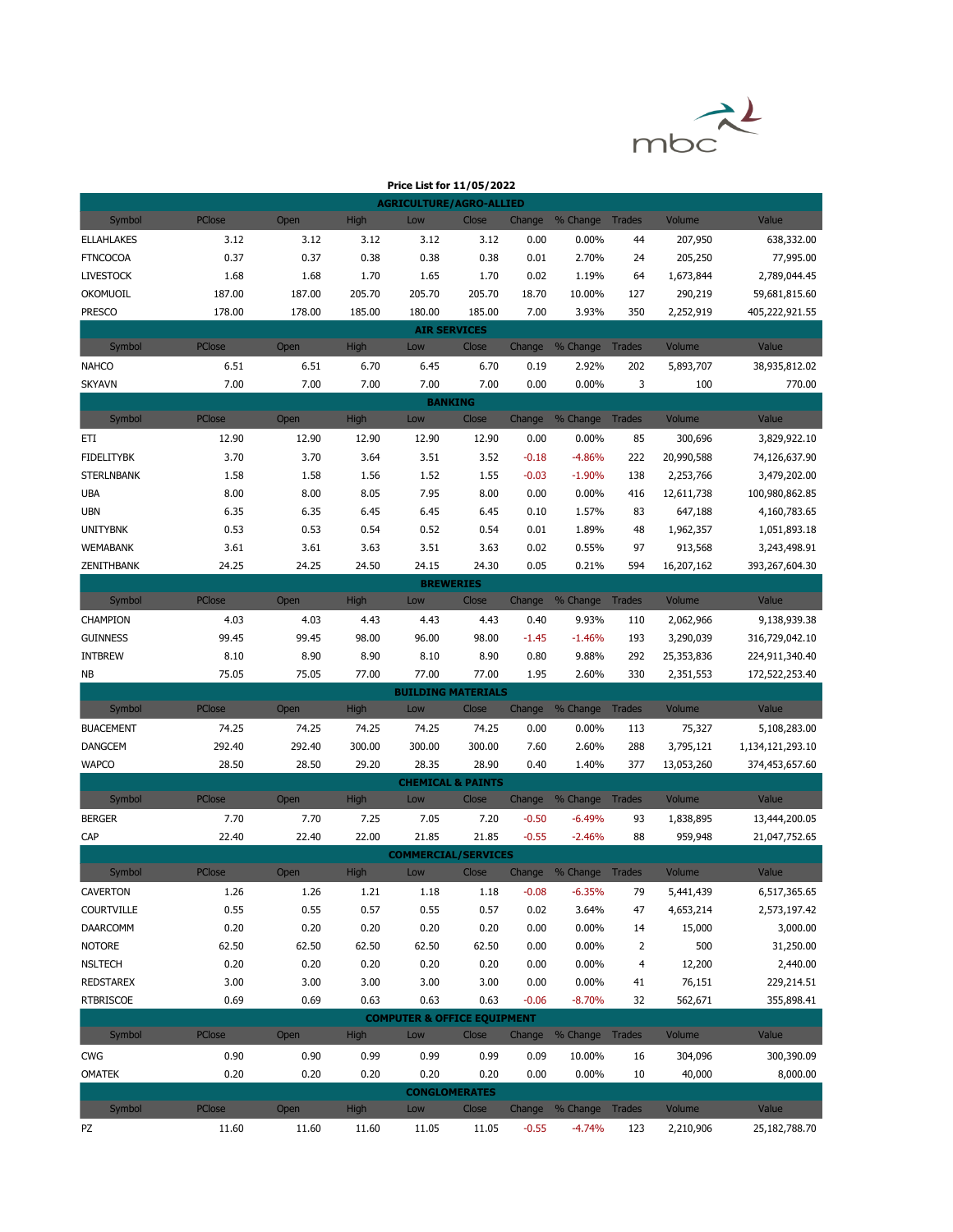

|                   |        |              |             | Price List for 11/05/2022              |        |                    |                        |                |                      |                                |
|-------------------|--------|--------------|-------------|----------------------------------------|--------|--------------------|------------------------|----------------|----------------------|--------------------------------|
|                   |        |              |             | <b>AGRICULTURE/AGRO-ALLIED</b>         |        |                    |                        |                |                      |                                |
| Symbol            | PClose | Open         | High        | Low                                    | Close  | Change             | % Change Trades        |                | Volume               | Value                          |
| <b>ELLAHLAKES</b> | 3.12   | 3.12         | 3.12        | 3.12                                   | 3.12   | 0.00               | 0.00%                  | 44             | 207,950              | 638,332.00                     |
| <b>FTNCOCOA</b>   | 0.37   | 0.37         | 0.38        | 0.38                                   | 0.38   | 0.01               | 2.70%                  | 24             | 205,250              | 77,995.00                      |
| <b>LIVESTOCK</b>  | 1.68   | 1.68         | 1.70        | 1.65                                   | 1.70   | 0.02               | 1.19%                  | 64             | 1,673,844            | 2,789,044.45                   |
| <b>OKOMUOIL</b>   | 187.00 | 187.00       | 205.70      | 205.70                                 | 205.70 | 18.70              | 10.00%                 | 127            | 290,219              | 59,681,815.60                  |
| <b>PRESCO</b>     | 178.00 | 178.00       | 185.00      | 180.00                                 | 185.00 | 7.00               | 3.93%                  | 350            | 2,252,919            | 405,222,921.55                 |
|                   |        |              |             | <b>AIR SERVICES</b>                    |        |                    |                        |                |                      |                                |
| Symbol            | PClose | Open         | <b>High</b> | Low                                    | Close  | Change             | % Change Trades        |                | Volume               | Value                          |
| <b>NAHCO</b>      | 6.51   | 6.51         | 6.70        | 6.45                                   | 6.70   | 0.19               | 2.92%                  | 202            | 5,893,707            | 38,935,812.02                  |
| <b>SKYAVN</b>     | 7.00   | 7.00         | 7.00        | 7.00                                   | 7.00   | 0.00               | 0.00%                  | 3              | 100                  | 770.00                         |
|                   |        |              |             | <b>BANKING</b>                         |        |                    |                        |                |                      |                                |
| Symbol            | PClose | Open         | <b>High</b> | Low                                    | Close  | Change             | % Change Trades        |                | Volume               | Value                          |
| ETI               | 12.90  | 12.90        | 12.90       | 12.90                                  | 12.90  | 0.00               | 0.00%                  | 85             | 300,696              | 3,829,922.10                   |
| <b>FIDELITYBK</b> | 3.70   | 3.70         | 3.64        | 3.51                                   | 3.52   | $-0.18$            | $-4.86%$               | 222            | 20,990,588           | 74,126,637.90                  |
| <b>STERLNBANK</b> | 1.58   | 1.58         | 1.56        | 1.52                                   | 1.55   | $-0.03$            | $-1.90%$               | 138            | 2,253,766            | 3,479,202.00                   |
| <b>UBA</b>        | 8.00   | 8.00         | 8.05        | 7.95                                   | 8.00   | 0.00               | 0.00%                  | 416            | 12,611,738           | 100,980,862.85                 |
| <b>UBN</b>        | 6.35   | 6.35         | 6.45        | 6.45                                   | 6.45   | 0.10               | 1.57%                  | 83             | 647,188              | 4,160,783.65                   |
| <b>UNITYBNK</b>   | 0.53   | 0.53         | 0.54        | 0.52                                   | 0.54   | 0.01               | 1.89%                  | 48             | 1,962,357            | 1,051,893.18                   |
| <b>WEMABANK</b>   | 3.61   | 3.61         | 3.63        | 3.51                                   | 3.63   | 0.02               | 0.55%                  | 97             | 913,568              | 3,243,498.91                   |
| ZENITHBANK        | 24.25  | 24.25        | 24.50       | 24.15                                  | 24.30  | 0.05               | 0.21%                  | 594            | 16,207,162           | 393,267,604.30                 |
|                   |        |              |             | <b>BREWERIES</b>                       |        |                    |                        |                |                      |                                |
| Symbol            | PClose | Open         | <b>High</b> | Low                                    | Close  | Change             | % Change               | <b>Trades</b>  | Volume               | Value                          |
| CHAMPION          | 4.03   | 4.03         | 4.43        | 4.43                                   | 4.43   | 0.40               | 9.93%                  | 110            | 2,062,966            | 9,138,939.38                   |
| <b>GUINNESS</b>   | 99.45  | 99.45        | 98.00       | 96.00                                  | 98.00  | $-1.45$            | $-1.46%$               | 193            | 3,290,039            | 316,729,042.10                 |
| <b>INTBREW</b>    | 8.10   | 8.90         | 8.90        | 8.10                                   | 8.90   | 0.80               | 9.88%                  | 292            | 25,353,836           | 224,911,340.40                 |
| <b>NB</b>         | 75.05  | 75.05        | 77.00       | 77.00                                  | 77.00  | 1.95               | 2.60%                  | 330            | 2,351,553            | 172,522,253.40                 |
|                   |        |              |             | <b>BUILDING MATERIALS</b>              |        |                    |                        |                |                      |                                |
| Symbol            | PClose | Open         | <b>High</b> | Low                                    | Close  | Change             | % Change               | <b>Trades</b>  | Volume               | Value                          |
| <b>BUACEMENT</b>  | 74.25  | 74.25        | 74.25       | 74.25                                  | 74.25  | 0.00               | 0.00%                  | 113            | 75,327               | 5,108,283.00                   |
| <b>DANGCEM</b>    | 292.40 | 292.40       | 300.00      | 300.00                                 | 300.00 | 7.60               | 2.60%                  | 288            | 3,795,121            | 1,134,121,293.10               |
| <b>WAPCO</b>      | 28.50  | 28.50        | 29.20       | 28.35<br><b>CHEMICAL &amp; PAINTS</b>  | 28.90  | 0.40               | 1.40%                  | 377            | 13,053,260           | 374,453,657.60                 |
| Symbol            | PClose | Open         | <b>High</b> | Low                                    | Close  |                    | Change % Change Trades |                | Volume               | Value                          |
| <b>BERGER</b>     | 7.70   | 7.70         | 7.25        | 7.05                                   | 7.20   |                    |                        |                |                      |                                |
| CAP               | 22.40  | 22.40        | 22.00       | 21.85                                  | 21.85  | $-0.50$<br>$-0.55$ | $-6.49%$<br>$-2.46%$   | 93<br>88       | 1,838,895<br>959,948 | 13,444,200.05<br>21,047,752.65 |
|                   |        |              |             | <b>COMMERCIAL/SERVICES</b>             |        |                    |                        |                |                      |                                |
| Symbol            | PClose |              | High        | Low                                    | Close  |                    | Change % Change Trades |                | Volume               | Value                          |
| <b>CAVERTON</b>   | 1.26   | Open<br>1.26 | 1.21        | 1.18                                   | 1.18   | $-0.08$            | $-6.35%$               | 79             | 5,441,439            | 6,517,365.65                   |
| <b>COURTVILLE</b> | 0.55   | 0.55         | 0.57        | 0.55                                   | 0.57   | 0.02               | 3.64%                  | 47             | 4,653,214            | 2,573,197.42                   |
| DAARCOMM          | 0.20   | 0.20         | 0.20        | 0.20                                   | 0.20   | 0.00               | 0.00%                  | 14             | 15,000               | 3,000.00                       |
| <b>NOTORE</b>     | 62.50  | 62.50        | 62.50       | 62.50                                  | 62.50  | 0.00               | 0.00%                  | $\overline{2}$ | 500                  | 31,250.00                      |
| <b>NSLTECH</b>    | 0.20   | 0.20         | 0.20        | 0.20                                   | 0.20   | 0.00               | 0.00%                  | 4              | 12,200               | 2,440.00                       |
| <b>REDSTAREX</b>  | 3.00   | 3.00         | 3.00        | 3.00                                   | 3.00   | 0.00               | 0.00%                  | 41             | 76,151               | 229,214.51                     |
| <b>RTBRISCOE</b>  | 0.69   | 0.69         | 0.63        | 0.63                                   | 0.63   | $-0.06$            | $-8.70%$               | 32             | 562,671              | 355,898.41                     |
|                   |        |              |             | <b>COMPUTER &amp; OFFICE EQUIPMENT</b> |        |                    |                        |                |                      |                                |
| Symbol            | PClose | Open         | <b>High</b> | Low                                    | Close  | Change             | % Change Trades        |                | Volume               | Value                          |
| <b>CWG</b>        | 0.90   | 0.90         | 0.99        | 0.99                                   | 0.99   | 0.09               | 10.00%                 | 16             | 304,096              | 300,390.09                     |
| <b>OMATEK</b>     | 0.20   | 0.20         | 0.20        | 0.20                                   | 0.20   | 0.00               | 0.00%                  | 10             | 40,000               | 8,000.00                       |
|                   |        |              |             | <b>CONGLOMERATES</b>                   |        |                    |                        |                |                      |                                |
| Symbol            | PClose | Open         | <b>High</b> | Low                                    | Close  | Change             | % Change               | <b>Trades</b>  | Volume               | Value                          |
| PZ                | 11.60  | 11.60        | 11.60       | 11.05                                  | 11.05  | $-0.55$            | $-4.74%$               | 123            | 2,210,906            | 25,182,788.70                  |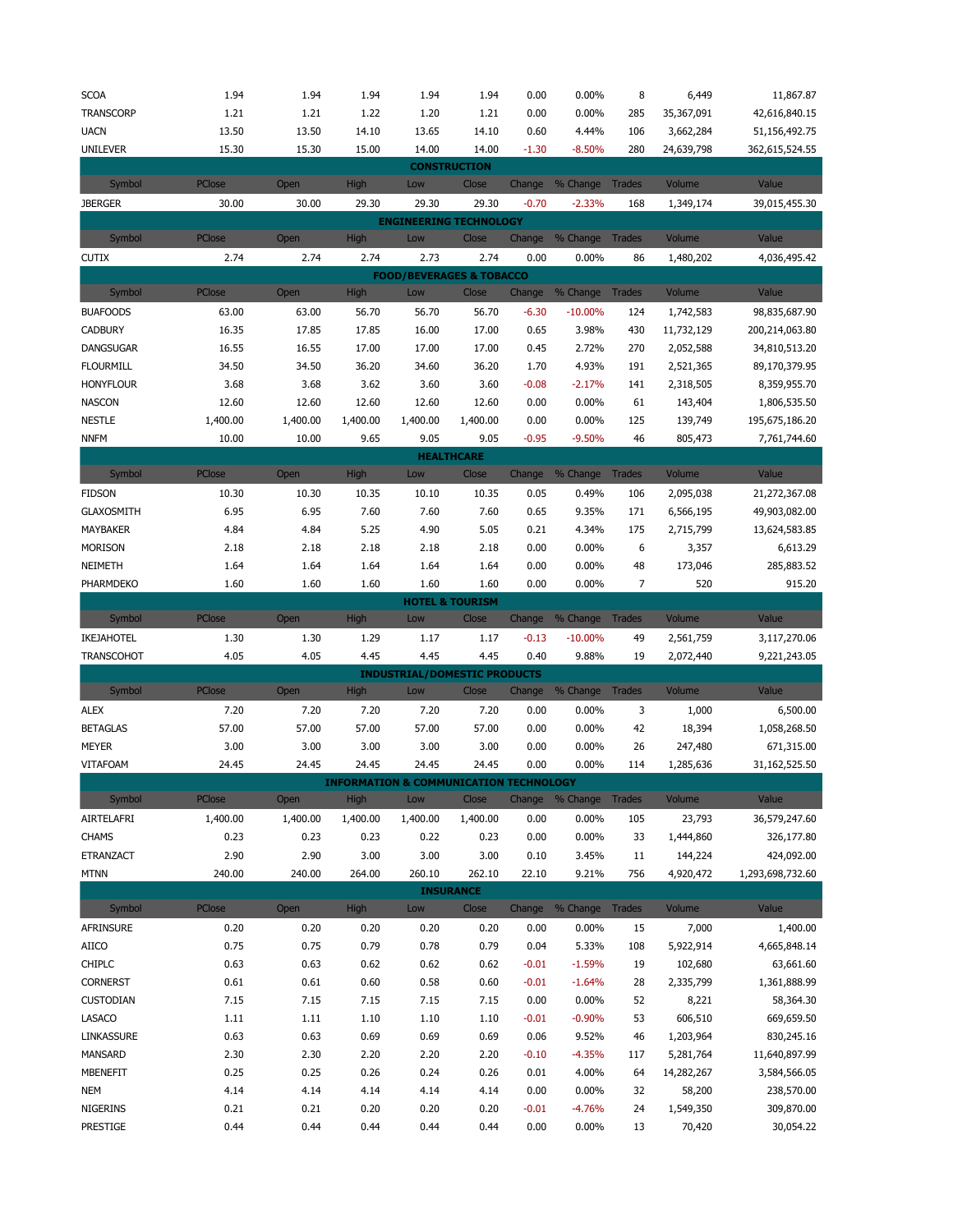| <b>SCOA</b>          | 1.94          | 1.94         | 1.94         | 1.94                                              | 1.94                       | 0.00            | $0.00\%$               | 8             | 6,449               | 11,867.87               |
|----------------------|---------------|--------------|--------------|---------------------------------------------------|----------------------------|-----------------|------------------------|---------------|---------------------|-------------------------|
| <b>TRANSCORP</b>     | 1.21          | 1.21         | 1.22         | 1.20                                              | 1.21                       | 0.00            | 0.00%                  | 285           | 35,367,091          | 42,616,840.15           |
| <b>UACN</b>          | 13.50         | 13.50        | 14.10        | 13.65                                             | 14.10                      | 0.60            | 4.44%                  | 106           | 3,662,284           | 51,156,492.75           |
| <b>UNILEVER</b>      | 15.30         | 15.30        | 15.00        | 14.00                                             | 14.00                      | $-1.30$         | $-8.50%$               | 280           | 24,639,798          | 362,615,524.55          |
|                      |               |              |              | <b>CONSTRUCTION</b>                               |                            |                 |                        |               |                     |                         |
| Symbol               | PClose        | Open         | <b>High</b>  | Low                                               | Close                      |                 | Change % Change Trades |               | Volume              | Value                   |
| <b>JBERGER</b>       | 30.00         | 30.00        | 29.30        | 29.30                                             | 29.30                      | $-0.70$         | $-2.33%$               | 168           | 1,349,174           | 39,015,455.30           |
|                      |               |              |              | <b>ENGINEERING TECHNOLOGY</b>                     |                            |                 |                        |               |                     |                         |
| Symbol               | PClose        | Open         | <b>High</b>  | Low                                               | Close                      | Change          | % Change Trades        |               | Volume              | Value                   |
| <b>CUTIX</b>         | 2.74          | 2.74         | 2.74         | 2.73                                              | 2.74                       | 0.00            | 0.00%                  | 86            | 1,480,202           | 4,036,495.42            |
|                      |               |              |              | <b>FOOD/BEVERAGES &amp; TOBACCO</b>               |                            |                 |                        |               |                     |                         |
| Symbol               | <b>PClose</b> | Open         | High         | Low                                               | Close                      | Change          | % Change Trades        |               | Volume              | Value                   |
| <b>BUAFOODS</b>      | 63.00         | 63.00        | 56.70        | 56.70                                             | 56.70                      | $-6.30$         | $-10.00%$              | 124           | 1,742,583           | 98,835,687.90           |
|                      |               |              |              |                                                   |                            |                 |                        |               |                     |                         |
| <b>CADBURY</b>       | 16.35         | 17.85        | 17.85        | 16.00                                             | 17.00                      | 0.65            | 3.98%                  | 430           | 11,732,129          | 200,214,063.80          |
| <b>DANGSUGAR</b>     | 16.55         | 16.55        | 17.00        | 17.00                                             | 17.00                      | 0.45            | 2.72%                  | 270           | 2,052,588           | 34,810,513.20           |
| <b>FLOURMILL</b>     | 34.50         | 34.50        | 36.20        | 34.60                                             | 36.20                      | 1.70            | 4.93%                  | 191           | 2,521,365           | 89,170,379.95           |
| <b>HONYFLOUR</b>     | 3.68          | 3.68         | 3.62         | 3.60                                              | 3.60                       | $-0.08$         | $-2.17%$               | 141           | 2,318,505           | 8,359,955.70            |
| <b>NASCON</b>        | 12.60         | 12.60        | 12.60        | 12.60                                             | 12.60                      | 0.00            | 0.00%                  | 61            | 143,404             | 1,806,535.50            |
| <b>NESTLE</b>        | 1,400.00      | 1,400.00     | 1,400.00     | 1,400.00                                          | 1,400.00                   | 0.00            | 0.00%                  | 125           | 139,749             | 195,675,186.20          |
| <b>NNFM</b>          | 10.00         | 10.00        | 9.65         | 9.05                                              | 9.05                       | $-0.95$         | $-9.50%$               | 46            | 805,473             | 7,761,744.60            |
|                      |               |              |              | <b>HEALTHCARE</b>                                 |                            |                 |                        |               |                     |                         |
| Symbol               | PClose        | Open         | High         | Low                                               | Close                      | Change          | % Change Trades        |               | Volume              | Value                   |
| <b>FIDSON</b>        | 10.30         | 10.30        | 10.35        | 10.10                                             | 10.35                      | 0.05            | 0.49%                  | 106           | 2,095,038           | 21,272,367.08           |
| <b>GLAXOSMITH</b>    | 6.95          | 6.95         | 7.60         | 7.60                                              | 7.60                       | 0.65            | 9.35%                  | 171           | 6,566,195           | 49,903,082.00           |
| MAYBAKER             | 4.84          | 4.84         | 5.25         | 4.90                                              | 5.05                       | 0.21            | 4.34%                  | 175           | 2,715,799           | 13,624,583.85           |
| <b>MORISON</b>       | 2.18          | 2.18         | 2.18         | 2.18                                              | 2.18                       | 0.00            | 0.00%                  | 6             | 3,357               | 6,613.29                |
| NEIMETH              | 1.64          | 1.64         | 1.64         | 1.64                                              | 1.64                       | 0.00            | 0.00%                  | 48            | 173,046             | 285,883.52              |
| PHARMDEKO            | 1.60          | 1.60         | 1.60         | 1.60                                              | 1.60                       | 0.00            | 0.00%                  | 7             | 520                 | 915.20                  |
|                      |               |              |              |                                                   | <b>HOTEL &amp; TOURISM</b> |                 |                        |               |                     |                         |
|                      |               |              |              |                                                   |                            |                 |                        |               |                     |                         |
|                      | PClose        | Open         | High         | Low                                               | Close                      |                 |                        |               | Volume              | Value                   |
| Symbol               |               |              |              |                                                   |                            | Change          | % Change Trades        |               |                     |                         |
| IKEJAHOTEL           | 1.30          | 1.30         | 1.29         | 1.17                                              | 1.17                       | $-0.13$         | $-10.00\%$             | 49            | 2,561,759           | 3,117,270.06            |
| <b>TRANSCOHOT</b>    | 4.05          | 4.05         | 4.45         | 4.45                                              | 4.45                       | 0.40            | 9.88%                  | 19            | 2,072,440           | 9,221,243.05            |
|                      |               |              |              | <b>INDUSTRIAL/DOMESTIC PRODUCTS</b>               |                            |                 |                        |               |                     |                         |
| Symbol               | PClose        | Open         | High         | Low                                               | Close                      | Change          | % Change               | Trades        | Volume              | Value                   |
| <b>ALEX</b>          | 7.20          | 7.20         | 7.20         | 7.20                                              | 7.20                       | 0.00            | 0.00%                  | 3             | 1,000               | 6,500.00                |
| <b>BETAGLAS</b>      | 57.00         | 57.00        | 57.00        | 57.00                                             | 57.00                      | 0.00            | 0.00%                  | 42            | 18,394              | 1,058,268.50            |
| <b>MEYER</b>         | 3.00          | 3.00         | 3.00         | 3.00                                              | 3.00                       | 0.00            | 0.00%                  | 26            | 247,480             | 671,315.00              |
| VITAFOAM             | 24.45         | 24.45        | 24.45        | 24.45                                             | 24.45                      | 0.00            | 0.00%                  | 114           | 1,285,636           | 31,162,525.50           |
|                      |               |              |              | <b>INFORMATION &amp; COMMUNICATION TECHNOLOGY</b> |                            |                 |                        |               |                     |                         |
| Symbol               | <b>PClose</b> | Open         | High         | Low                                               | Close                      |                 | Change % Change        | <b>Trades</b> | Volume              | Value                   |
| AIRTELAFRI           | 1,400.00      | 1,400.00     | 1,400.00     | 1,400.00                                          | 1,400.00                   | 0.00            | 0.00%                  | 105           | 23,793              | 36,579,247.60           |
| <b>CHAMS</b>         | 0.23          | 0.23         | 0.23         | 0.22                                              | 0.23                       | 0.00            | 0.00%                  | 33            | 1,444,860           | 326,177.80              |
| ETRANZACT            | 2.90          | 2.90         | 3.00         | 3.00                                              | 3.00                       | 0.10            | 3.45%                  | 11            | 144,224             | 424,092.00              |
| <b>MTNN</b>          | 240.00        | 240.00       | 264.00       | 260.10                                            | 262.10                     | 22.10           | 9.21%                  | 756           | 4,920,472           | 1,293,698,732.60        |
|                      |               |              |              |                                                   | <b>INSURANCE</b>           |                 |                        |               |                     |                         |
| Symbol               | PClose        | Open         | High         | Low                                               | Close                      | Change          | % Change               | Trades        | Volume              | Value                   |
| AFRINSURE            | 0.20          | 0.20         | 0.20         | 0.20                                              | 0.20                       | 0.00            | $0.00\%$               | 15            | 7,000               | 1,400.00                |
| <b>AIICO</b>         | 0.75          | 0.75         | 0.79         | 0.78                                              | 0.79                       | 0.04            | 5.33%                  | 108           | 5,922,914           | 4,665,848.14            |
| <b>CHIPLC</b>        | 0.63          | 0.63         | 0.62         | 0.62                                              | 0.62                       | $-0.01$         | $-1.59%$               | 19            | 102,680             | 63,661.60               |
| <b>CORNERST</b>      | 0.61          |              |              |                                                   |                            |                 | $-1.64%$               | 28            |                     |                         |
|                      |               | 0.61         | 0.60         | 0.58                                              | 0.60                       | $-0.01$         |                        |               | 2,335,799           | 1,361,888.99            |
| <b>CUSTODIAN</b>     | 7.15          | 7.15         | 7.15         | 7.15                                              | 7.15                       | 0.00            | 0.00%                  | 52            | 8,221               | 58,364.30               |
| <b>LASACO</b>        | 1.11          | 1.11         | 1.10         | 1.10                                              | 1.10                       | $-0.01$         | $-0.90%$               | 53            | 606,510             | 669,659.50              |
| LINKASSURE           | 0.63          | 0.63         | 0.69         | 0.69                                              | 0.69                       | 0.06            | 9.52%                  | 46            | 1,203,964           | 830,245.16              |
| <b>MANSARD</b>       | 2.30          | 2.30         | 2.20         | 2.20                                              | 2.20                       | $-0.10$         | $-4.35%$               | 117           | 5,281,764           | 11,640,897.99           |
| MBENEFIT             | 0.25          | 0.25         | 0.26         | 0.24                                              | 0.26                       | 0.01            | 4.00%                  | 64            | 14,282,267          | 3,584,566.05            |
| <b>NEM</b>           | 4.14          | 4.14         | 4.14         | 4.14                                              | 4.14                       | 0.00            | 0.00%                  | 32            | 58,200              | 238,570.00              |
| NIGERINS<br>PRESTIGE | 0.21<br>0.44  | 0.21<br>0.44 | 0.20<br>0.44 | 0.20<br>0.44                                      | 0.20<br>0.44               | $-0.01$<br>0.00 | $-4.76%$<br>$0.00\%$   | 24<br>13      | 1,549,350<br>70,420 | 309,870.00<br>30,054.22 |